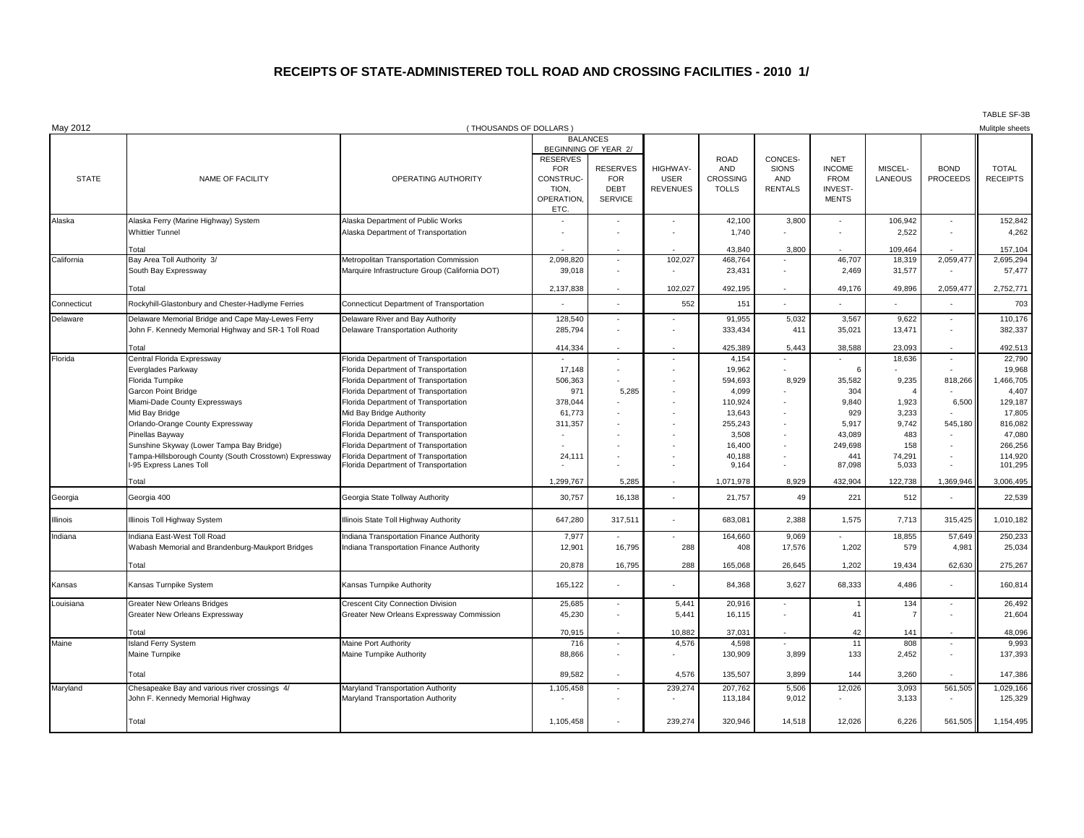## **RECEIPTS OF STATE-ADMINISTERED TOLL ROAD AND CROSSING FACILITIES - 2010 1/**

| May 2012     |                                                             | (THOUSANDS OF DOLLARS)                                                       |                                                                                  |                                                                                        |                                            |                                                              |                                                         |                                                                              |                    |                                | TABLE SF-3B<br>Mulitple sheets  |
|--------------|-------------------------------------------------------------|------------------------------------------------------------------------------|----------------------------------------------------------------------------------|----------------------------------------------------------------------------------------|--------------------------------------------|--------------------------------------------------------------|---------------------------------------------------------|------------------------------------------------------------------------------|--------------------|--------------------------------|---------------------------------|
|              |                                                             |                                                                              |                                                                                  | <b>BALANCES</b>                                                                        |                                            |                                                              |                                                         |                                                                              |                    |                                |                                 |
| <b>STATE</b> | NAME OF FACILITY                                            | OPERATING AUTHORITY                                                          | <b>RESERVES</b><br><b>FOR</b><br><b>CONSTRUC-</b><br>TION.<br>OPERATION,<br>ETC. | BEGINNING OF YEAR 2/<br><b>RESERVES</b><br><b>FOR</b><br><b>DEBT</b><br><b>SERVICE</b> | <b>HIGHWAY-</b><br><b>USER</b><br>REVENUES | <b>ROAD</b><br><b>AND</b><br><b>CROSSING</b><br><b>TOLLS</b> | CONCES-<br><b>SIONS</b><br><b>AND</b><br><b>RENTALS</b> | <b>NET</b><br><b>INCOME</b><br><b>FROM</b><br><b>INVEST-</b><br><b>MENTS</b> | MISCEL-<br>LANEOUS | <b>BOND</b><br><b>PROCEEDS</b> | <b>TOTAL</b><br><b>RECEIPTS</b> |
| Alaska       | Alaska Ferry (Marine Highway) System                        | Alaska Department of Public Works                                            | $\overline{a}$                                                                   | $\overline{\phantom{a}}$                                                               | $\blacksquare$                             | 42,100                                                       | 3,800                                                   | $\overline{\phantom{a}}$                                                     | 106,942            | $\sim$                         | 152,842                         |
|              | <b>Whittier Tunnel</b>                                      | Alaska Department of Transportation                                          |                                                                                  |                                                                                        |                                            | 1,740                                                        |                                                         |                                                                              | 2,522              | $\overline{\phantom{a}}$       | 4,262                           |
|              | Total                                                       |                                                                              |                                                                                  |                                                                                        |                                            | 43,840                                                       | 3,800                                                   |                                                                              | 109,464            |                                | 157,104                         |
| California   | Bay Area Toll Authority 3/                                  | Metropolitan Transportation Commission                                       | 2,098,820                                                                        | $\overline{\phantom{a}}$                                                               | 102,027                                    | 468,764                                                      |                                                         | 46,707                                                                       | 18,319             | 2,059,47                       | 2,695,294                       |
|              | South Bay Expressway                                        | Marquire Infrastructure Group (California DOT)                               | 39,018                                                                           |                                                                                        |                                            | 23,431                                                       |                                                         | 2,469                                                                        | 31,577             |                                | 57,477                          |
|              | Total                                                       |                                                                              | 2,137,838                                                                        |                                                                                        | 102,027                                    | 492,195                                                      |                                                         | 49,176                                                                       | 49,896             | 2,059,477                      | 2,752,771                       |
| Connecticut  | Rockyhill-Glastonbury and Chester-Hadlyme Ferries           | Connecticut Department of Transportation                                     |                                                                                  |                                                                                        | 552                                        | 151                                                          |                                                         |                                                                              |                    |                                | 703                             |
| Delaware     | Delaware Memorial Bridge and Cape May-Lewes Ferry           | Delaware River and Bay Authority                                             | 128,540                                                                          |                                                                                        |                                            | 91,955                                                       | 5,032                                                   | 3,567                                                                        | 9,622              |                                | 110,176                         |
|              | John F. Kennedy Memorial Highway and SR-1 Toll Road         | Delaware Transportation Authority                                            | 285,794                                                                          |                                                                                        |                                            | 333,434                                                      | 411                                                     | 35,021                                                                       | 13,471             | $\sim$                         | 382,337                         |
|              | Total                                                       |                                                                              | 414,334                                                                          |                                                                                        |                                            | 425,389                                                      | 5,443                                                   | 38,588                                                                       | 23,093             |                                | 492,513                         |
| Florida      | Central Florida Expressway                                  | Florida Department of Transportation                                         |                                                                                  | $\sim$                                                                                 | $\overline{a}$                             | 4,154                                                        |                                                         |                                                                              | 18,636             | $\sim$                         | 22,790                          |
|              | Everglades Parkway                                          | Florida Department of Transportation                                         | 17,148                                                                           | $\overline{\phantom{a}}$                                                               |                                            | 19,962                                                       |                                                         | 6                                                                            |                    |                                | 19,968                          |
|              | Florida Turnpike                                            | Florida Department of Transportation                                         | 506,363                                                                          |                                                                                        |                                            | 594,693                                                      | 8,929                                                   | 35,582                                                                       | 9,235              | 818,266                        | 1,466,705                       |
|              | <b>Garcon Point Bridge</b>                                  | Florida Department of Transportation                                         | 971                                                                              | 5,285                                                                                  |                                            | 4,099                                                        |                                                         | 304                                                                          |                    |                                | 4,407                           |
|              | Miami-Dade County Expressways                               | Florida Department of Transportation                                         | 378,044                                                                          |                                                                                        |                                            | 110,924                                                      |                                                         | 9.840                                                                        | 1,923              | 6,500                          | 129,187                         |
|              | Mid Bay Bridge                                              | Mid Bay Bridge Authority                                                     | 61,773                                                                           |                                                                                        |                                            | 13,643                                                       |                                                         | 929                                                                          | 3,233              |                                | 17,805                          |
|              | Orlando-Orange County Expressway                            | Florida Department of Transportation                                         | 311,357                                                                          |                                                                                        |                                            | 255,243                                                      |                                                         | 5,917                                                                        | 9.742              | 545,180                        | 816,082                         |
|              | Pinellas Bayway<br>Sunshine Skyway (Lower Tampa Bay Bridge) | Florida Department of Transportation<br>Florida Department of Transportation |                                                                                  |                                                                                        |                                            | 3,508<br>16,400                                              |                                                         | 43.089<br>249.698                                                            | 483<br>158         |                                | 47,080<br>266,256               |
|              | Tampa-Hillsborough County (South Crosstown) Expressway      | Florida Department of Transportation                                         | 24,11'                                                                           |                                                                                        |                                            | 40,188                                                       |                                                         | 441                                                                          | 74,291             |                                | 114,920                         |
|              | I-95 Express Lanes Toll                                     | Florida Department of Transportation                                         |                                                                                  |                                                                                        |                                            | 9,164                                                        |                                                         | 87,098                                                                       | 5,033              |                                | 101,295                         |
|              | Total                                                       |                                                                              | 1,299,767                                                                        | 5,285                                                                                  |                                            | 1,071,978                                                    | 8,929                                                   | 432,904                                                                      | 122,738            | 1,369,94                       | 3,006,495                       |
| Georgia      | Georgia 400                                                 | Georgia State Tollway Authority                                              | 30,757                                                                           | 16,138                                                                                 |                                            | 21,757                                                       | 49                                                      | 221                                                                          | 512                |                                | 22,539                          |
| Illinois     | Illinois Toll Highway System                                | Illinois State Toll Highway Authority                                        | 647,280                                                                          | 317,511                                                                                |                                            | 683,081                                                      | 2,388                                                   | 1,575                                                                        | 7,713              | 315,425                        | 1,010,182                       |
| Indiana      | Indiana East-West Toll Road                                 | Indiana Transportation Finance Authority                                     | 7,977                                                                            |                                                                                        |                                            | 164,660                                                      | 9,069                                                   |                                                                              | 18,855             | 57,649                         | 250,233                         |
|              | Wabash Memorial and Brandenburg-Maukport Bridges            | Indiana Transportation Finance Authority                                     | 12,901                                                                           | 16,795                                                                                 | 288                                        | 408                                                          | 17,576                                                  | 1,202                                                                        | 579                | 4,981                          | 25,034                          |
|              | Total                                                       |                                                                              | 20,878                                                                           | 16,795                                                                                 | 288                                        | 165,068                                                      | 26,645                                                  | 1,202                                                                        | 19,434             | 62,630                         | 275,267                         |
| Kansas       | Kansas Turnpike System                                      | Kansas Turnpike Authority                                                    | 165,122                                                                          | $\sim$                                                                                 |                                            | 84,368                                                       | 3,627                                                   | 68,333                                                                       | 4,486              |                                | 160,814                         |
| Louisiana    | <b>Greater New Orleans Bridges</b>                          | <b>Crescent City Connection Division</b>                                     | 25,685                                                                           | $\overline{\phantom{a}}$                                                               | 5,441                                      | 20,916                                                       |                                                         |                                                                              | 134                | $\overline{\phantom{a}}$       | 26,492                          |
|              | Greater New Orleans Expressway                              | Greater New Orleans Expressway Commission                                    | 45,230                                                                           | $\overline{\phantom{a}}$                                                               | 5,441                                      | 16,115                                                       |                                                         | 41                                                                           |                    |                                | 21,604                          |
|              | Total                                                       |                                                                              | 70,915                                                                           |                                                                                        | 10,882                                     | 37,031                                                       |                                                         | 42                                                                           | 141                |                                | 48,096                          |
| Maine        | <b>Island Ferry System</b>                                  | Maine Port Authority                                                         | 716                                                                              | $\overline{\phantom{a}}$                                                               | 4,576                                      | 4,598                                                        |                                                         | 11                                                                           | 808                | $\blacksquare$                 | 9,993                           |
|              | Maine Turnpike                                              | Maine Turnpike Authority                                                     | 88,866                                                                           | $\overline{\phantom{a}}$                                                               |                                            | 130,909                                                      | 3,899                                                   | 133                                                                          | 2,452              | $\blacksquare$                 | 137,393                         |
|              | Total                                                       |                                                                              | 89,582                                                                           | $\overline{\phantom{a}}$                                                               | 4,576                                      | 135,507                                                      | 3,899                                                   | 144                                                                          | 3,260              |                                | 147,386                         |
| Maryland     | Chesapeake Bay and various river crossings 4/               | Maryland Transportation Authority                                            | 1,105,458                                                                        | $\blacksquare$                                                                         | 239,274                                    | 207,762                                                      | 5,506                                                   | 12,026                                                                       | 3,093              | 561,505                        | 1,029,166                       |
|              | John F. Kennedy Memorial Highway                            | Maryland Transportation Authority                                            |                                                                                  |                                                                                        |                                            | 113,184                                                      | 9,012                                                   |                                                                              | 3,133              |                                | 125,329                         |
|              | Total                                                       |                                                                              | 1,105,458                                                                        |                                                                                        | 239.274                                    | 320.946                                                      | 14.518                                                  | 12.026                                                                       | 6.226              | 561,505                        | 1,154,495                       |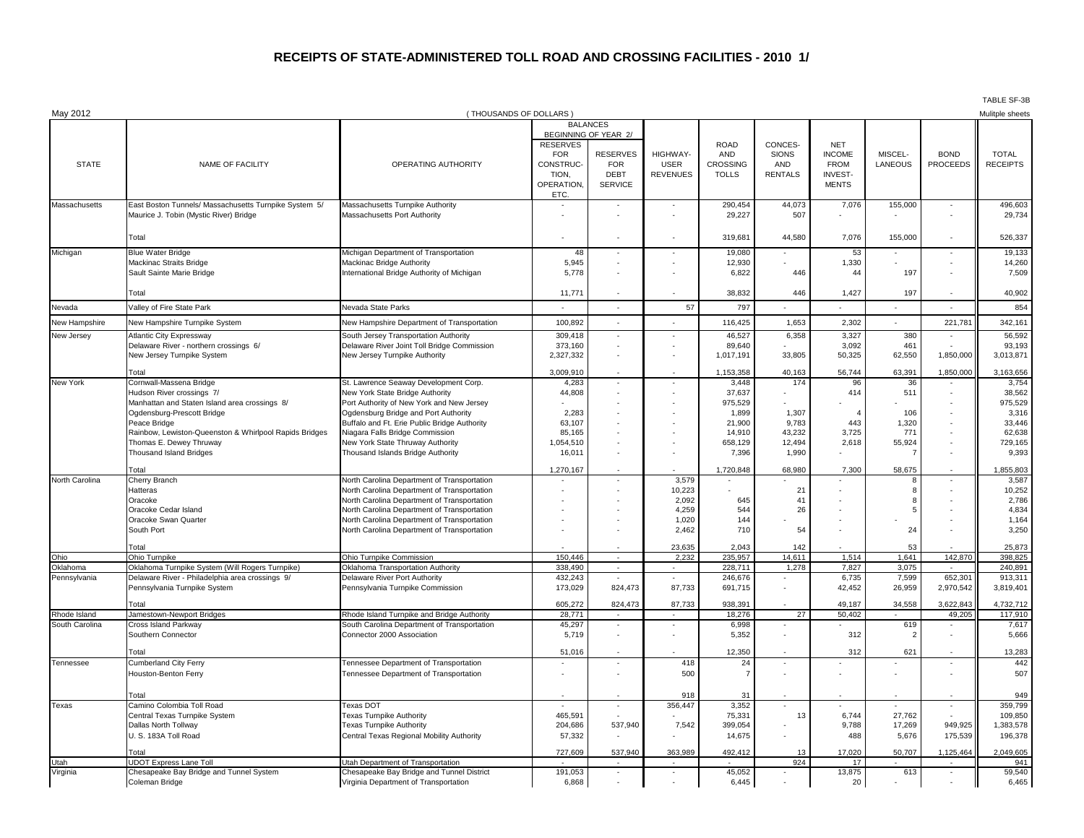## **RECEIPTS OF STATE-ADMINISTERED TOLL ROAD AND CROSSING FACILITIES - 2010 1/**

| May 2012         |                                                                            | (THOUSANDS OF DOLLARS)                                                                     |                          |                          |                 |                      |                          |                |                          |                              | Mulitple sheets      |
|------------------|----------------------------------------------------------------------------|--------------------------------------------------------------------------------------------|--------------------------|--------------------------|-----------------|----------------------|--------------------------|----------------|--------------------------|------------------------------|----------------------|
|                  |                                                                            |                                                                                            | <b>BALANCES</b>          |                          |                 |                      |                          |                |                          |                              |                      |
|                  |                                                                            |                                                                                            | <b>RESERVES</b>          | BEGINNING OF YEAR 2/     |                 | <b>ROAD</b>          | CONCES-                  | <b>NET</b>     |                          |                              |                      |
|                  |                                                                            |                                                                                            | <b>FOR</b>               | <b>RESERVES</b>          | HIGHWAY-        | AND                  | <b>SIONS</b>             | <b>INCOME</b>  | MISCEL-                  | <b>BOND</b>                  | <b>TOTAL</b>         |
| <b>STATE</b>     | NAME OF FACILITY                                                           | OPERATING AUTHORITY                                                                        | CONSTRUC-                | <b>FOR</b>               | <b>USER</b>     | <b>CROSSING</b>      | AND                      | <b>FROM</b>    | <b>LANEOUS</b>           | <b>PROCEEDS</b>              | <b>RECEIPTS</b>      |
|                  |                                                                            |                                                                                            | TION,                    | <b>DEBT</b>              | <b>REVENUES</b> | <b>TOLLS</b>         | <b>RENTALS</b>           | <b>INVEST-</b> |                          |                              |                      |
|                  |                                                                            |                                                                                            | OPERATION,<br>ETC.       | <b>SERVICE</b>           |                 |                      |                          | <b>MENTS</b>   |                          |                              |                      |
| Massachusetts    | East Boston Tunnels/ Massachusetts Turnpike System 5/                      | Massachusetts Turnpike Authority                                                           | $\overline{\phantom{a}}$ | $\overline{\phantom{a}}$ |                 | 290,454              | 44,073                   | 7,076          | 155,000                  | $\overline{\phantom{a}}$     | 496,603              |
|                  | Maurice J. Tobin (Mystic River) Bridge                                     | Massachusetts Port Authority                                                               |                          |                          |                 | 29,227               | 507                      |                |                          |                              | 29,734               |
|                  |                                                                            |                                                                                            |                          |                          |                 |                      |                          |                |                          |                              |                      |
|                  | Total                                                                      |                                                                                            |                          |                          |                 | 319,681              | 44,580                   | 7,076          | 155,000                  | $\overline{\phantom{a}}$     | 526,337              |
| Michigan         | <b>Blue Water Bridge</b>                                                   | Michigan Department of Transportation                                                      | 48                       | $\overline{\phantom{a}}$ |                 | 19,080               |                          | 53             |                          | $\overline{\phantom{a}}$     | 19,133               |
|                  | Mackinac Straits Bridge                                                    | Mackinac Bridge Authority                                                                  | 5,945                    | $\blacksquare$           |                 | 12,930               |                          | 1,330          | $\overline{\phantom{a}}$ |                              | 14,260               |
|                  | Sault Sainte Marie Bridge                                                  | International Bridge Authority of Michigan                                                 | 5,778                    |                          |                 | 6,822                | 446                      | 44             | 197                      |                              | 7,509                |
|                  | Total                                                                      |                                                                                            | 11,771                   |                          |                 | 38,832               | 446                      | 1,427          | 197                      |                              | 40,902               |
| Nevada           | Valley of Fire State Park                                                  | Nevada State Parks                                                                         |                          |                          | 57              | 797                  |                          |                |                          |                              | 854                  |
| New Hampshire    | New Hampshire Turnpike System                                              | New Hampshire Department of Transportation                                                 | 100,892                  |                          |                 | 116,425              | 1,653                    | 2,302          |                          | 221,781                      | 342,161              |
| New Jersey       | Atlantic City Expressway                                                   | South Jersey Transportation Authority                                                      | 309,418                  |                          |                 | 46,527               | 6,358                    | 3,327          | 380                      |                              | 56,592               |
|                  | Delaware River - northern crossings 6/                                     | Delaware River Joint Toll Bridge Commission                                                | 373,160                  | $\overline{\phantom{a}}$ |                 | 89,640               |                          | 3,092          | 461                      |                              | 93,193               |
|                  | New Jersey Turnpike System                                                 | New Jersey Turnpike Authority                                                              | 2,327,332                |                          |                 | 1,017,191            | 33,805                   | 50,325         | 62,550                   | 1,850,000                    | 3,013,871            |
|                  | Total                                                                      |                                                                                            | 3,009,910                |                          |                 | 1,153,358            | 40,163                   | 56,744         | 63,391                   | 1,850,000                    | 3,163,656            |
| New York         | Cornwall-Massena Bridge                                                    | St. Lawrence Seaway Development Corp.                                                      | 4,283                    |                          |                 | 3,448                | 174                      | 96             | 36                       |                              | 3,754                |
|                  | Hudson River crossings 7/<br>Manhattan and Staten Island area crossings 8/ | New York State Bridge Authority<br>Port Authority of New York and New Jersey               | 44,808                   | $\overline{\phantom{a}}$ |                 | 37,637<br>975,529    |                          | 414            | 511                      |                              | 38,562<br>975,529    |
|                  | Ogdensburg-Prescott Bridge                                                 | Ogdensburg Bridge and Port Authority                                                       | 2,283                    |                          |                 | 1,899                | 1,307                    | $\overline{a}$ | 106                      |                              | 3,316                |
|                  | Peace Bridge                                                               | Buffalo and Ft. Erie Public Bridge Authority                                               | 63,107                   |                          |                 | 21,900               | 9,783                    | 443            | 1,320                    |                              | 33,446               |
|                  | Rainbow, Lewiston-Queenston & Whirlpool Rapids Bridges                     | Niagara Falls Bridge Commission                                                            | 85,165                   |                          |                 | 14,910               | 43,232                   | 3,725          | 771                      |                              | 62,638               |
|                  | Thomas E. Dewey Thruway                                                    | New York State Thruway Authority                                                           | 1,054,510                |                          |                 | 658,129              | 12,494                   | 2,618          | 55,924                   | $\qquad \qquad \blacksquare$ | 729,165              |
|                  | Thousand Island Bridges                                                    | Thousand Islands Bridge Authority                                                          | 16,011                   |                          |                 | 7,396                | 1,990                    |                |                          |                              | 9,393                |
|                  | Total                                                                      |                                                                                            | 1,270,167                | $\overline{\phantom{a}}$ |                 | 1,720,848            | 68,980                   | 7,300          | 58,675                   | $\blacksquare$               | 1,855,803            |
| North Carolina   | Cherry Branch                                                              | North Carolina Department of Transportation                                                |                          | ٠                        | 3,579           |                      |                          |                |                          |                              | 3,587                |
|                  | Hatteras                                                                   | North Carolina Department of Transportation                                                |                          | $\overline{\phantom{a}}$ | 10,223          |                      | 21                       |                |                          |                              | 10,252               |
|                  | Oracoke                                                                    | North Carolina Department of Transportation                                                |                          |                          | 2,092           | 645                  | 41                       |                |                          |                              | 2,786                |
|                  | Oracoke Cedar Island<br>Oracoke Swan Quarter                               | North Carolina Department of Transportation<br>North Carolina Department of Transportation |                          |                          | 4,259<br>1,020  | 544<br>144           | 26                       |                | -5                       |                              | 4,834<br>1,164       |
|                  | South Port                                                                 | North Carolina Department of Transportation                                                |                          |                          | 2,462           | 710                  | 54                       |                | 24                       |                              | 3,250                |
|                  | Total                                                                      |                                                                                            |                          |                          | 23,635          | 2,043                | 142                      |                | 53                       |                              | 25,873               |
| Ohio             | Ohio Turnpike                                                              | Ohio Turnpike Commission                                                                   | 150,446                  | $\sim$                   | 2,232           | 235,957              | 14,611                   | 1,514          | 1,641                    | 142,870                      | 398,825              |
| Oklahoma         | Oklahoma Turnpike System (Will Rogers Turnpike)                            | Oklahoma Transportation Authority                                                          | 338,490                  | $\sim$                   | $\sim$          | 228,711              | 1,278                    | 7,827          | 3,075                    | $\overline{\phantom{a}}$     | 240,891              |
| Pennsylvania     | Delaware River - Philadelphia area crossings 9/                            | Delaware River Port Authority                                                              | 432,243                  |                          |                 | 246,676              |                          | 6,735          | 7,599                    | 652,301                      | 913,311              |
|                  | Pennsylvania Turnpike System                                               | Pennsylvania Turnpike Commission                                                           | 173,029                  | 824,473                  | 87,733          | 691,715              |                          | 42,452         | 26,959                   | 2,970,542                    | 3,819,401            |
|                  | Total                                                                      |                                                                                            | 605,272                  | 824,473                  | 87,733          | 938,391              |                          | 49,187         | 34,558                   | 3,622,843                    | 4,732,712            |
| Rhode Island     | Jamestown-Newport Bridges                                                  | Rhode Island Turnpike and Bridge Authority                                                 | 28,771                   | $\sim$                   |                 | 18,276               | 27                       | 50,402         |                          | 49,205                       | 117,910              |
| South Carolina   | Cross Island Parkway<br>Southern Connector                                 | South Carolina Department of Transportation<br>Connector 2000 Association                  | 45,297<br>5,719          |                          |                 | 6,998<br>5,352       |                          | 312            | 619                      |                              | 7,617<br>5,666       |
|                  |                                                                            |                                                                                            |                          |                          |                 |                      |                          |                |                          |                              |                      |
|                  | Total                                                                      |                                                                                            | 51,016                   |                          | 418             | 12,350               |                          | 312            | 621                      |                              | 13,283               |
| Tennessee        | <b>Cumberland City Ferry</b><br>Houston-Benton Ferry                       | Tennessee Department of Transportation<br>Tennessee Department of Transportation           |                          | $\overline{\phantom{a}}$ | 500             | 24<br>$\overline{7}$ |                          |                |                          |                              | 442<br>507           |
|                  |                                                                            |                                                                                            |                          |                          |                 |                      |                          |                |                          |                              |                      |
|                  | Total                                                                      |                                                                                            |                          |                          | 918             | 31                   |                          |                |                          |                              | 949                  |
| Texas            | Camino Colombia Toll Road<br>Central Texas Turnpike System                 | Texas DOT<br><b>Texas Turnpike Authority</b>                                               |                          | $\overline{\phantom{a}}$ | 356,447         | 3,352                |                          |                |                          | $\overline{\phantom{a}}$     | 359,799              |
|                  |                                                                            |                                                                                            | 465,591                  |                          |                 | 75,331               | 13                       | 6,744          | 27,762                   |                              | 109,850              |
|                  | Dallas North Tollway<br>U. S. 183A Toll Road                               | Texas Turnpike Authority<br>Central Texas Regional Mobility Authority                      | 204,686<br>57,332        | 537,940                  | 7,542           | 399,054<br>14,675    |                          | 9,788<br>488   | 17,269<br>5,676          | 949,925<br>175,539           | 1,383,578<br>196,378 |
|                  |                                                                            |                                                                                            |                          |                          |                 |                      |                          |                |                          |                              |                      |
|                  | Total                                                                      |                                                                                            | 727,609                  | 537,940                  | 363,989         | 492,412              | 13<br>924                | 17,020         | 50,707                   | 1,125,464                    | 2,049,605            |
| Utah<br>Virginia | <b>UDOT Express Lane Toll</b><br>Chesapeake Bay Bridge and Tunnel System   | Utah Department of Transportation<br>Chesapeake Bay Bridge and Tunnel District             | 191,053                  | $\blacksquare$           | $\blacksquare$  | 45,052               |                          | 17<br>13,875   | 613                      | $\sim$                       | 941<br>59,540        |
|                  | Coleman Bridge                                                             | Virginia Department of Transportation                                                      | 6,868                    | $\blacksquare$           |                 | 6,445                | $\overline{\phantom{a}}$ | 20             |                          |                              | 6,465                |

TABLE SF-3B